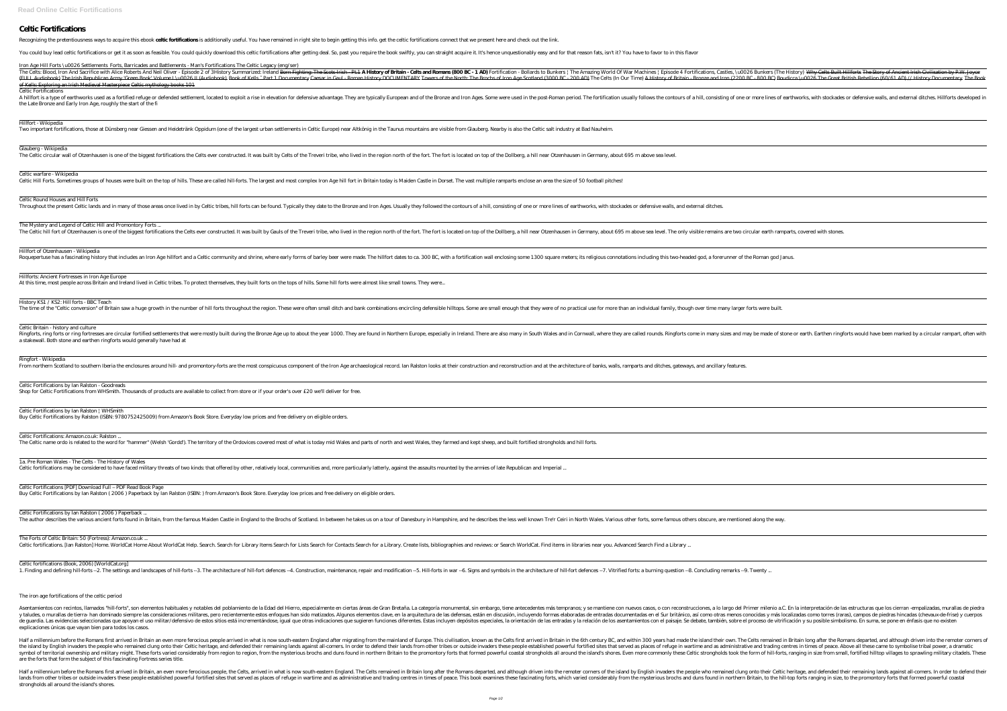## **Celtic Fortifications**

Recognizing the pretentiousness ways to acquire this ebook **celtic fortifications** is additionally useful. You have remained in right site to begin getting this info. get the celtic fortifications connect that we present h

You could buy lead celtic fortifications or get it as soon as feasible. You could quickly download this celtic fortifications after getting deal. So, past you require the book swiftly, you can straight acquire it. It's hen

*Iron Age Hill Forts \u0026 Settlements Forts, Barricades and Battlements - Man's Fortifications The Celtic Legacy (eng/ser)*

The Celts: Blood, Iron And Sacrifice with Alice Roberts And Neil Oliver - Episode 2 of 3*History Summarized: Ireland* <del>Born Fighting: The Scots-Irish - Pt.1</del> **A History of Britain - Celts and Romans (800 BC - 1 AD)** *Forti* FULL Audiobook) The Irish Republican Army 'Green Book' Volume I \u0026 II (Audiobook) Book of Kells - Part 1 Documentary Caesar in Gaul - Roman History DOCUMENTARY Towers of the North: The Brochs of Iron Age Scotland (3000 of Kells: Exploring an Irish Medieval Masterpiece Celtic mythology books 101

A hillfort is a type of earthworks used as a fortified refuge or defended settlement, located to exploit a rise in elevation for defensive advantage. They are typically follows the contours of a hill, consisting of one or the Late Bronze and Early Iron Age, roughly the start of the fi

Celtic Fortifications

Hillfort - Wikipedia

Two important fortifications, those at Dünsberg near Giessen and Heidetränk Oppidum (one of the largest urban settlements in Celtic Europe) near Altkönig in the Taunus mountains are visible from Glauberg. Nearby is also th

Glauberg - Wikipedia

The Celtic circular wall of Otzenhausen is one of the biggest fortifications the Celts ever constructed. It was built by Celts of the Treveri tribe, who lived in the region north of the fort. The fort is located on top of

Ringforts, ring forts or ring fortresses are circular fortified settlements that were mostly built during the Bronze Age up to about the year 1000. They are found in Northern Europe, especially in Ireland. There are also m a stakewall. Both stone and earthen ringforts would generally have had at

Celtic warfare - Wikipedia

Celtic Hill Forts. Sometimes groups of houses were built on the top of hills. These are called hill-forts. The largest and most complex Iron Age hill fort in Britain today is Maiden Castle in Dorset. The vast multiple ramp

Celtic Round Houses and Hill Forts

Throughout the present Celtic lands and in many of those areas once lived in by Celtic tribes, hill forts can be found. Typically they date to the Bronze and Iron Ages. Usually they followed the contours of a hill, consist

The Mystery and Legend of Celtic Hill and Promontory Forts ...

Celtic Fortifications by Ian Ralston ( 2006 ) Paperback ... The author describes the various ancient forts found in Britain, from the famous Maiden Castle in England to the Brochs of Scotland. In between he takes us on a tour of Danesbury in Hampshire, and he describes the less wel

The Forts of Celtic Britain: 50 (Fortress): Amazon.co.uk ... Celtic fortifications. [Ian Ralston] Home. WorldCat Home About WorldCat Help. Search for Library Items Search for Lists Search for a Library. Create lists, bibliographies and reviews: or Search WorldCat. Find items in libr

Hillfort of Otzenhausen - Wikipedia

Roquepertuse has a fascinating history that includes an Iron Age hillfort and a Celtic community and shrine, where early forms of barley beer were made. The hillfort dates to ca. 300 BC, with a fortification wall enclosing

Hillforts: Ancient Fortresses in Iron Age Europe

At this time, most people across Britain and Ireland lived in Celtic tribes. To protect themselves, they built forts on the tops of hills. Some hill forts were almost like small towns. They were..

History KS1 / KS2: Hill forts - BBC Teach

The time of the "Celtic conversion" of Britain saw a huge growth in the number of hill forts throughout the region. These were often small ditch and bank combinations encircling defensible hilltops. Some are small enough t

Asentamientos con recintos, llamados "hill-forts", son elementos habituales y notables del poblamiento de la Edad del Hierro, especialmente en ciertas áreas de Gran Bretaña. La categoría monumental, sin embargo, tiene ante y taludes, o murallas de tierra- han dominado siempre las consideraciones militares, pero recientemente estos enfoques han sido matizados. Algunos elementos clave, en la arquitectura de las defensas, están en discusión, in de guardia. Las evidencias seleccionadas que apoyan el uso militar/defensivo de estos sitios está incrementándose, igual que otras indicaciones diferentes. Estas incluyen depósitos especiales, la orientación de las entrada explicaciones únicas que vayan bien para todos los casos.

Celtic Britain - history and culture

Ringfort - Wikipedia

From northern Scotland to southern Iberia the enclosures around hill- and promontory-forts are the most conspicuous component of the Iron Age archaeological record. Ian Ralston looks at their construction and at the archit

Half a millennium before the Romans first arrived in Britain an even more ferocious people arrived in what is now south-eastern England after migrating from the mainland of Europe. This civilisation, known as the Celts fir the island by English invaders the people who remained clung onto their Celtic heritage, and defended their remaining lands against all-comers. In order to defend their lands from other tribes or outside invaders these peo symbol of territorial ownership and military might. These forts varied considerably from region to region, from the mysterious brochs and duns found in northern Britain to the promontory forts that formed powerful coastal are the forts that form the subject of this fascinating Fortress series title.

Celtic Fortifications by Ian Ralston - Goodreads

Shop for Celtic Fortifications from WHSmith. Thousands of products are available to collect from store or if your order's over £20 we'll deliver for free.

Half a millennium before the Romans first arrived in Britain, an even more ferocious people, the Celts, arrived in what is now south-eastern England. The Celts remained in Britain long after the Romans departed, and althou lands from other tribes or outside invaders these people established powerful fortified sites that served as places of refuge in wartime and as administrative and trading centres in times of peace. This book examines these strongholds all around the island's shores.

The Celtic hill fort of Otzenhausen is one of the biggest fortifications the Celts ever constructed. It was built by Gauls of the Treveri tribe, who lived in the region north of the fort. The fort is located on top of the

Celtic Fortifications by Ian Ralston | WHSmith

Buy Celtic Fortifications by Ralston (ISBN: 9780752425009) from Amazon's Book Store. Everyday low prices and free delivery on eligible orders.

Celtic Fortifications: Amazon.co.uk: Ralston ...

The Celtic name ordo is related to the word for "hammer" (Welsh 'Gordd'). The territory of the Ordovices covered most of what is today mid Wales and parts of north and west Wales, they farmed and kept sheep, and built fort

1a. Pre Roman Wales - The Celts - The History of Wales

Celtic fortifications may be considered to have faced military threats of two kinds: that offered by other, relatively local, communities and, more particularly latterly, against the assaults mounted by the armies of late

Celtic Fortifications [PDF] Download Full – PDF Read Book Page Buy Celtic Fortifications by Ian Ralston ( 2006 ) Paperback by Ian Ralston (ISBN: ) from Amazon's Book Store. Everyday low prices and free delivery on eligible orders.

Celtic fortifications (Book, 2006) [WorldCat.org]

1. Finding and defining hill-forts --2. The settings and landscapes of hill-forts --3. The architecture of hill-fort defences --4. Construction, maintenance, repair and modification --5. Hill-forts in war --6. Signs and sy

The iron age fortifications of the celtic period